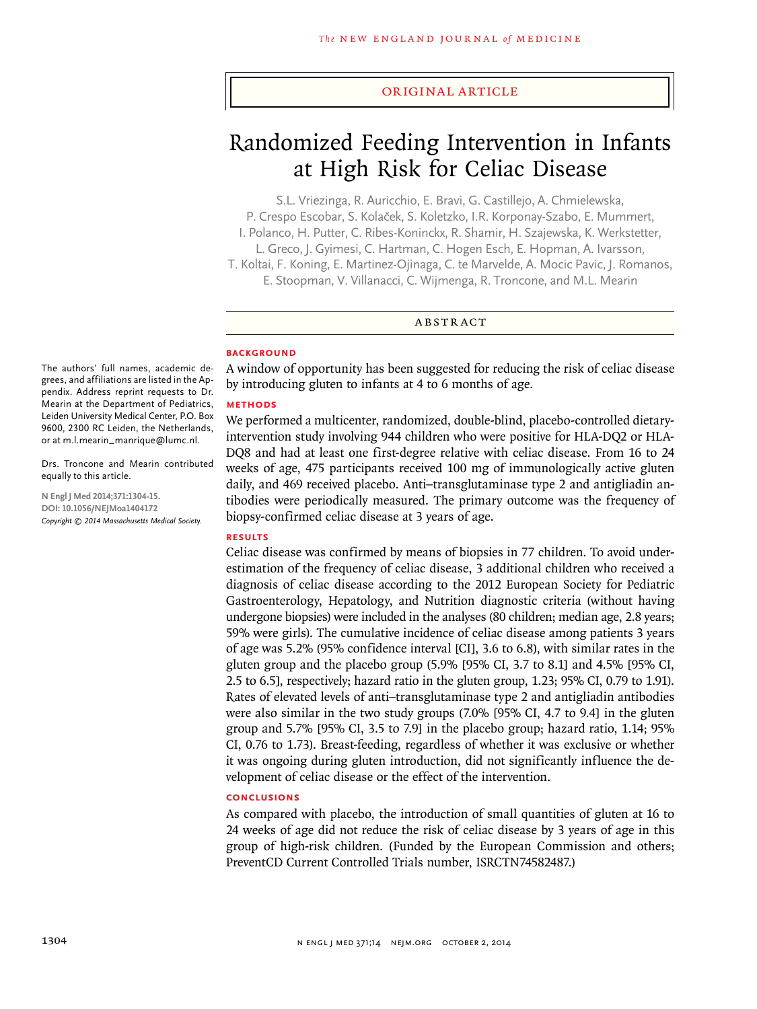### original article

# Randomized Feeding Intervention in Infants at High Risk for Celiac Disease

S.L. Vriezinga, R. Auricchio, E. Bravi, G. Castillejo, A. Chmielewska, P. Crespo Escobar, S. Kolaček, S. Koletzko, I.R. Korponay-Szabo, E. Mummert, I. Polanco, H. Putter, C. Ribes-Koninckx, R. Shamir, H. Szajewska, K. Werkstetter, L. Greco, J. Gyimesi, C. Hartman, C. Hogen Esch, E. Hopman, A. Ivarsson, T. Koltai, F. Koning, E. Martinez-Ojinaga, C. te Marvelde, A. Mocic Pavic, J. Romanos, E. Stoopman, V. Villanacci, C. Wijmenga, R. Troncone, and M.L. Mearin

## ABSTRACT

#### **BACKGROUND**

A window of opportunity has been suggested for reducing the risk of celiac disease by introducing gluten to infants at 4 to 6 months of age.

#### **METHODS**

We performed a multicenter, randomized, double-blind, placebo-controlled dietaryintervention study involving 944 children who were positive for HLA-DQ2 or HLA-DQ8 and had at least one first-degree relative with celiac disease. From 16 to 24 weeks of age, 475 participants received 100 mg of immunologically active gluten daily, and 469 received placebo. Anti–transglutaminase type 2 and antigliadin antibodies were periodically measured. The primary outcome was the frequency of biopsy-confirmed celiac disease at 3 years of age.

#### **RESULTS**

Celiac disease was confirmed by means of biopsies in 77 children. To avoid underestimation of the frequency of celiac disease, 3 additional children who received a diagnosis of celiac disease according to the 2012 European Society for Pediatric Gastroenterology, Hepatology, and Nutrition diagnostic criteria (without having undergone biopsies) were included in the analyses (80 children; median age, 2.8 years; 59% were girls). The cumulative incidence of celiac disease among patients 3 years of age was 5.2% (95% confidence interval [CI], 3.6 to 6.8), with similar rates in the gluten group and the placebo group (5.9% [95% CI, 3.7 to 8.1] and 4.5% [95% CI, 2.5 to 6.5], respectively; hazard ratio in the gluten group, 1.23; 95% CI, 0.79 to 1.91). Rates of elevated levels of anti–transglutaminase type 2 and antigliadin antibodies were also similar in the two study groups (7.0% [95% CI, 4.7 to 9.4] in the gluten group and 5.7% [95% CI, 3.5 to 7.9] in the placebo group; hazard ratio, 1.14; 95% CI, 0.76 to 1.73). Breast-feeding, regardless of whether it was exclusive or whether it was ongoing during gluten introduction, did not significantly influence the development of celiac disease or the effect of the intervention.

#### **CONCLUSIONS**

As compared with placebo, the introduction of small quantities of gluten at 16 to 24 weeks of age did not reduce the risk of celiac disease by 3 years of age in this group of high-risk children. (Funded by the European Commission and others; PreventCD Current Controlled Trials number, ISRCTN74582487.)

The authors' full names, academic degrees, and affiliations are listed in the Appendix. Address reprint requests to Dr. Mearin at the Department of Pediatrics, Leiden University Medical Center, P.O. Box 9600, 2300 RC Leiden, the Netherlands, or at m.l.mearin\_manrique@lumc.nl.

Drs. Troncone and Mearin contributed equally to this article.

**N Engl J Med 2014;371:1304-15. DOI: 10.1056/NEJMoa1404172** *Copyright © 2014 Massachusetts Medical Society.*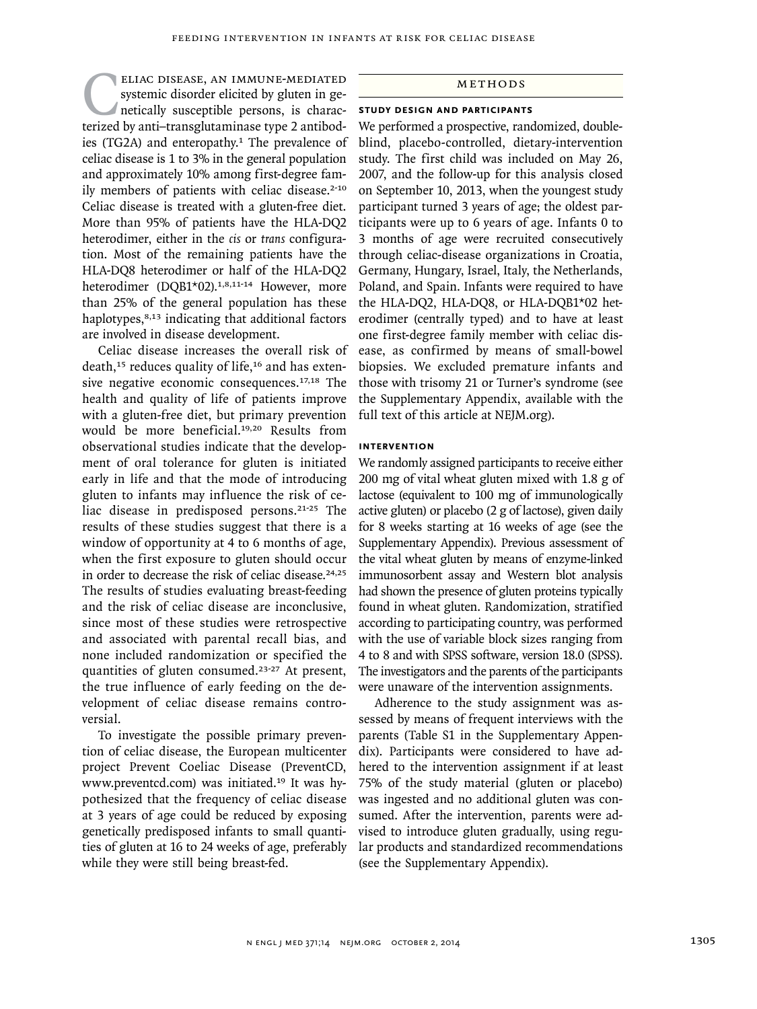## ELIAC DISEASE, AN IMMUNE-MEDIATED<br>systemic disorder elicited by gluten in ge-<br>netically susceptible persons, is charac-<br>terized by anti-transglutaminase type 2 antibodsystemic disorder elicited by gluten in genetically susceptible persons, is characterized by anti–transglutaminase type 2 antibodies (TG2A) and enteropathy.<sup>1</sup> The prevalence of celiac disease is 1 to 3% in the general population and approximately 10% among first-degree family members of patients with celiac disease.<sup>2-10</sup> Celiac disease is treated with a gluten-free diet. More than 95% of patients have the HLA-DQ2 heterodimer, either in the *cis* or *trans* configuration. Most of the remaining patients have the HLA-DQ8 heterodimer or half of the HLA-DQ2 heterodimer (DQB1\*02).<sup>1,8,11-14</sup> However, more than 25% of the general population has these haplotypes, $8,13$  indicating that additional factors are involved in disease development.

Celiac disease increases the overall risk of death, $15$  reduces quality of life, $16$  and has extensive negative economic consequences.17,18 The health and quality of life of patients improve with a gluten-free diet, but primary prevention would be more beneficial.19,20 Results from observational studies indicate that the development of oral tolerance for gluten is initiated early in life and that the mode of introducing gluten to infants may influence the risk of celiac disease in predisposed persons.21-25 The results of these studies suggest that there is a window of opportunity at 4 to 6 months of age, when the first exposure to gluten should occur in order to decrease the risk of celiac disease.<sup>24,25</sup> The results of studies evaluating breast-feeding and the risk of celiac disease are inconclusive, since most of these studies were retrospective and associated with parental recall bias, and none included randomization or specified the quantities of gluten consumed.23-27 At present, the true influence of early feeding on the development of celiac disease remains controversial.

To investigate the possible primary prevention of celiac disease, the European multicenter project Prevent Coeliac Disease (PreventCD, www.preventcd.com) was initiated.19 It was hypothesized that the frequency of celiac disease at 3 years of age could be reduced by exposing genetically predisposed infants to small quantities of gluten at 16 to 24 weeks of age, preferably while they were still being breast-fed.

## METHODS

### **STUDY DESIGN AND PARTICIPANTS**

We performed a prospective, randomized, doubleblind, placebo-controlled, dietary-intervention study. The first child was included on May 26, 2007, and the follow-up for this analysis closed on September 10, 2013, when the youngest study participant turned 3 years of age; the oldest participants were up to 6 years of age. Infants 0 to 3 months of age were recruited consecutively through celiac-disease organizations in Croatia, Germany, Hungary, Israel, Italy, the Netherlands, Poland, and Spain. Infants were required to have the HLA-DQ2, HLA-DQ8, or HLA-DQB1\*02 heterodimer (centrally typed) and to have at least one first-degree family member with celiac disease, as confirmed by means of small-bowel biopsies. We excluded premature infants and those with trisomy 21 or Turner's syndrome (see the Supplementary Appendix, available with the full text of this article at NEJM.org).

## **INTERVENTION**

We randomly assigned participants to receive either 200 mg of vital wheat gluten mixed with 1.8 g of lactose (equivalent to 100 mg of immunologically active gluten) or placebo (2 g of lactose), given daily for 8 weeks starting at 16 weeks of age (see the Supplementary Appendix). Previous assessment of the vital wheat gluten by means of enzyme-linked immunosorbent assay and Western blot analysis had shown the presence of gluten proteins typically found in wheat gluten. Randomization, stratified according to participating country, was performed with the use of variable block sizes ranging from 4 to 8 and with SPSS software, version 18.0 (SPSS). The investigators and the parents of the participants were unaware of the intervention assignments.

Adherence to the study assignment was assessed by means of frequent interviews with the parents (Table S1 in the Supplementary Appendix). Participants were considered to have adhered to the intervention assignment if at least 75% of the study material (gluten or placebo) was ingested and no additional gluten was consumed. After the intervention, parents were advised to introduce gluten gradually, using regular products and standardized recommendations (see the Supplementary Appendix).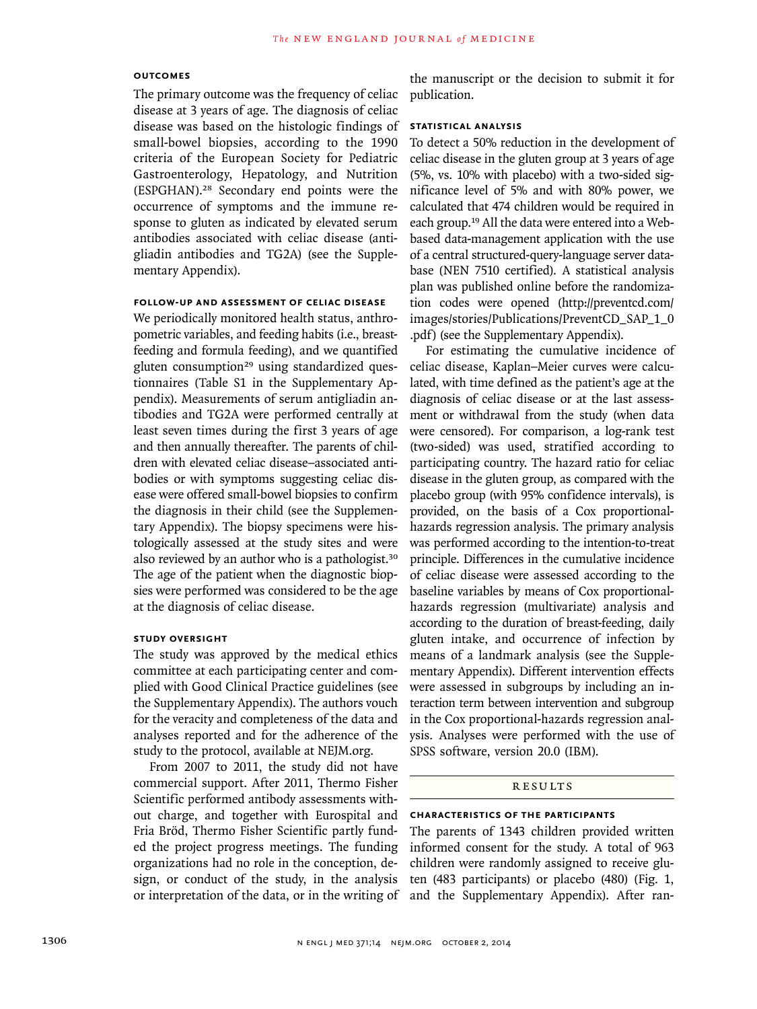#### **OUTCOMES**

The primary outcome was the frequency of celiac disease at 3 years of age. The diagnosis of celiac disease was based on the histologic findings of small-bowel biopsies, according to the 1990 criteria of the European Society for Pediatric Gastroenterology, Hepatology, and Nutrition (ESPGHAN).28 Secondary end points were the occurrence of symptoms and the immune response to gluten as indicated by elevated serum antibodies associated with celiac disease (antigliadin antibodies and TG2A) (see the Supplementary Appendix).

## **FOLLOW-UP AND ASSESSMENT OF CELIAC DISEASE**

We periodically monitored health status, anthropometric variables, and feeding habits (i.e., breastfeeding and formula feeding), and we quantified gluten consumption<sup>29</sup> using standardized questionnaires (Table S1 in the Supplementary Appendix). Measurements of serum antigliadin antibodies and TG2A were performed centrally at least seven times during the first 3 years of age and then annually thereafter. The parents of children with elevated celiac disease–associated antibodies or with symptoms suggesting celiac disease were offered small-bowel biopsies to confirm the diagnosis in their child (see the Supplementary Appendix). The biopsy specimens were histologically assessed at the study sites and were also reviewed by an author who is a pathologist.<sup>30</sup> The age of the patient when the diagnostic biopsies were performed was considered to be the age at the diagnosis of celiac disease.

### **STUDY OVERSIGHT**

The study was approved by the medical ethics committee at each participating center and complied with Good Clinical Practice guidelines (see the Supplementary Appendix). The authors vouch for the veracity and completeness of the data and analyses reported and for the adherence of the study to the protocol, available at NEJM.org.

From 2007 to 2011, the study did not have commercial support. After 2011, Thermo Fisher Scientific performed antibody assessments without charge, and together with Eurospital and Fria Bröd, Thermo Fisher Scientific partly funded the project progress meetings. The funding organizations had no role in the conception, design, or conduct of the study, in the analysis or interpretation of the data, or in the writing of

the manuscript or the decision to submit it for publication.

## **STATISTICAL ANALYSIS**

To detect a 50% reduction in the development of celiac disease in the gluten group at 3 years of age (5%, vs. 10% with placebo) with a two-sided significance level of 5% and with 80% power, we calculated that 474 children would be required in each group.19 All the data were entered into a Webbased data-management application with the use of a central structured-query-language server database (NEN 7510 certified). A statistical analysis plan was published online before the randomization codes were opened (http://preventcd.com/ images/stories/Publications/PreventCD\_SAP\_1\_0 .pdf) (see the Supplementary Appendix).

For estimating the cumulative incidence of celiac disease, Kaplan–Meier curves were calculated, with time defined as the patient's age at the diagnosis of celiac disease or at the last assessment or withdrawal from the study (when data were censored). For comparison, a log-rank test (two-sided) was used, stratified according to participating country. The hazard ratio for celiac disease in the gluten group, as compared with the placebo group (with 95% confidence intervals), is provided, on the basis of a Cox proportionalhazards regression analysis. The primary analysis was performed according to the intention-to-treat principle. Differences in the cumulative incidence of celiac disease were assessed according to the baseline variables by means of Cox proportionalhazards regression (multivariate) analysis and according to the duration of breast-feeding, daily gluten intake, and occurrence of infection by means of a landmark analysis (see the Supplementary Appendix). Different intervention effects were assessed in subgroups by including an interaction term between intervention and subgroup in the Cox proportional-hazards regression analysis. Analyses were performed with the use of SPSS software, version 20.0 (IBM).

#### RESULTS

#### **CHARACTERISTICS OF THE PARTICIPANTS**

The parents of 1343 children provided written informed consent for the study. A total of 963 children were randomly assigned to receive gluten (483 participants) or placebo (480) (Fig. 1, and the Supplementary Appendix). After ran-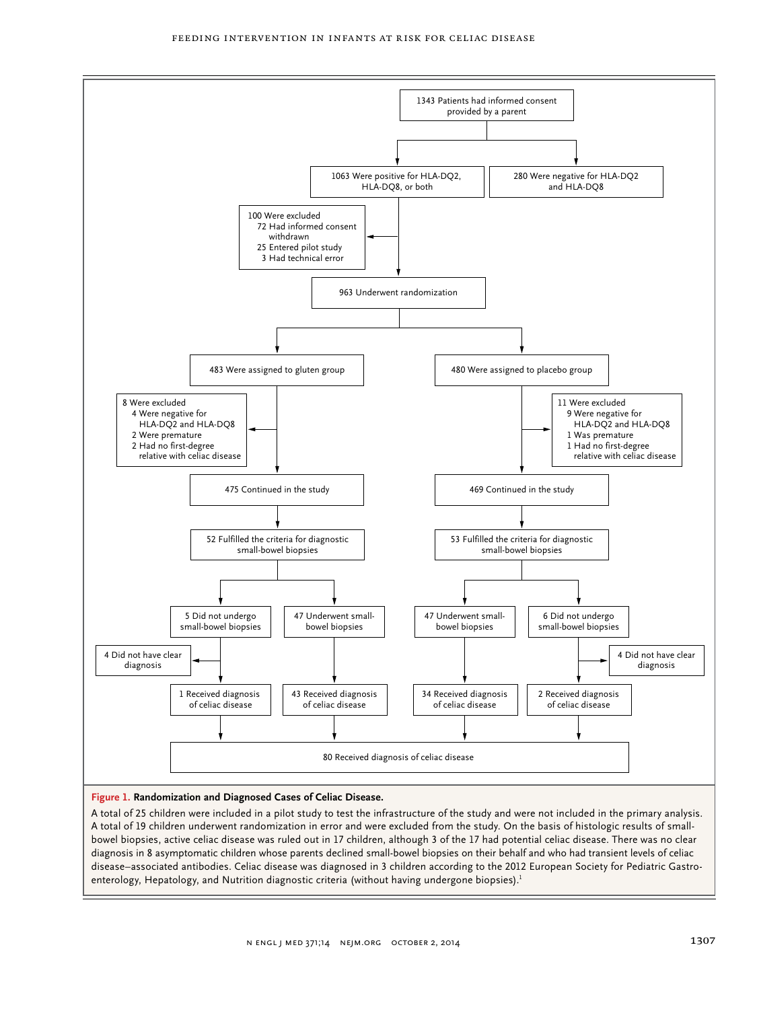

A total of 25 children were included in a pilot study to test the infrastructure of the study and were not included in the primary analysis. A total of 19 children underwent randomization in error and were excluded from the study. On the basis of histologic results of smallbowel biopsies, active celiac disease was ruled out in 17 children, although 3 of the 17 had potential celiac disease. There was no clear diagnosis in 8 asymptomatic children whose parents declined small-bowel biopsies on their behalf and who had transient levels of celiac disease–associated antibodies. Celiac disease was diagnosed in 3 children according to the 2012 European Society for Pediatric Gastroenterology, Hepatology, and Nutrition diagnostic criteria (without having undergone biopsies).<sup>1</sup>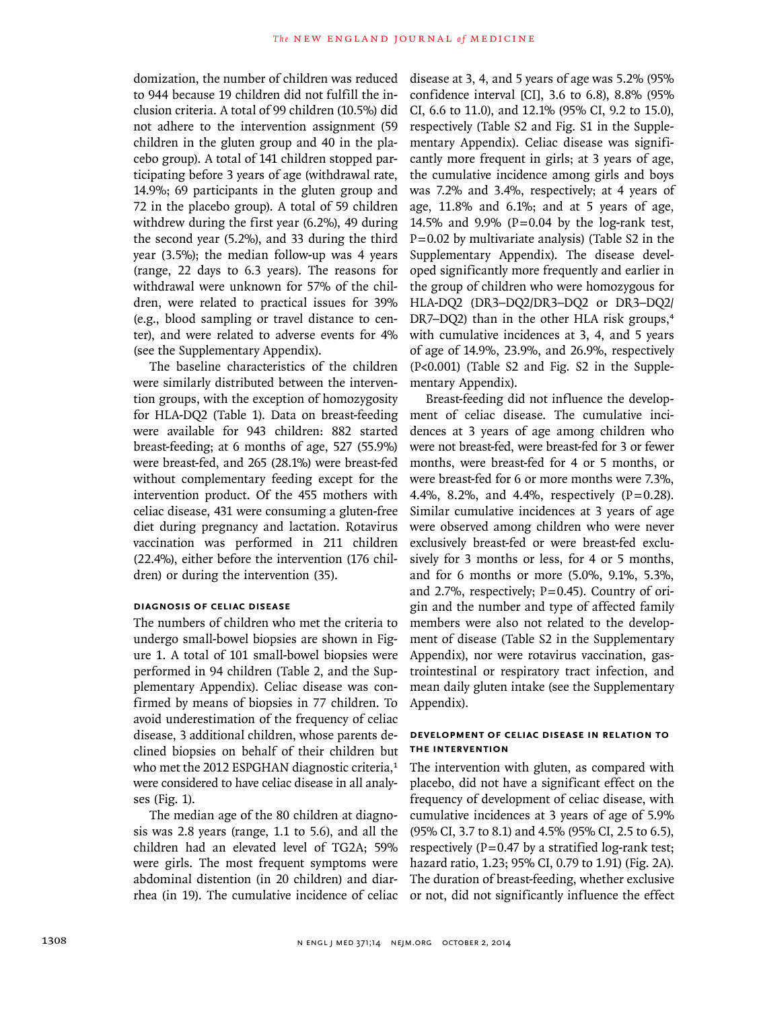domization, the number of children was reduced to 944 because 19 children did not fulfill the inclusion criteria. A total of 99 children (10.5%) did not adhere to the intervention assignment (59 children in the gluten group and 40 in the placebo group). A total of 141 children stopped participating before 3 years of age (withdrawal rate, 14.9%; 69 participants in the gluten group and 72 in the placebo group). A total of 59 children withdrew during the first year (6.2%), 49 during the second year (5.2%), and 33 during the third year (3.5%); the median follow-up was 4 years (range, 22 days to 6.3 years). The reasons for withdrawal were unknown for 57% of the children, were related to practical issues for 39% (e.g., blood sampling or travel distance to center), and were related to adverse events for 4% (see the Supplementary Appendix).

The baseline characteristics of the children were similarly distributed between the intervention groups, with the exception of homozygosity for HLA-DQ2 (Table 1). Data on breast-feeding were available for 943 children: 882 started breast-feeding; at 6 months of age, 527 (55.9%) were breast-fed, and 265 (28.1%) were breast-fed without complementary feeding except for the intervention product. Of the 455 mothers with celiac disease, 431 were consuming a gluten-free diet during pregnancy and lactation. Rotavirus vaccination was performed in 211 children (22.4%), either before the intervention (176 children) or during the intervention (35).

## **DIAGNOSIS OF CELIAC DISEASE**

The numbers of children who met the criteria to undergo small-bowel biopsies are shown in Figure 1. A total of 101 small-bowel biopsies were performed in 94 children (Table 2, and the Supplementary Appendix). Celiac disease was confirmed by means of biopsies in 77 children. To avoid underestimation of the frequency of celiac disease, 3 additional children, whose parents declined biopsies on behalf of their children but who met the 2012 ESPGHAN diagnostic criteria,<sup>1</sup> were considered to have celiac disease in all analyses (Fig. 1).

The median age of the 80 children at diagnosis was 2.8 years (range, 1.1 to 5.6), and all the children had an elevated level of TG2A; 59% were girls. The most frequent symptoms were abdominal distention (in 20 children) and diarrhea (in 19). The cumulative incidence of celiac disease at 3, 4, and 5 years of age was 5.2% (95% confidence interval [CI], 3.6 to 6.8), 8.8% (95% CI, 6.6 to 11.0), and 12.1% (95% CI, 9.2 to 15.0), respectively (Table S2 and Fig. S1 in the Supplementary Appendix). Celiac disease was significantly more frequent in girls; at 3 years of age, the cumulative incidence among girls and boys was 7.2% and 3.4%, respectively; at 4 years of age, 11.8% and 6.1%; and at 5 years of age, 14.5% and 9.9% ( $P = 0.04$  by the log-rank test,  $P=0.02$  by multivariate analysis) (Table S2 in the Supplementary Appendix). The disease developed significantly more frequently and earlier in the group of children who were homozygous for HLA-DQ2 (DR3–DQ2/DR3–DQ2 or DR3–DQ2/ DR7–DQ2) than in the other HLA risk groups,<sup>4</sup> with cumulative incidences at 3, 4, and 5 years of age of 14.9%, 23.9%, and 26.9%, respectively (P<0.001) (Table S2 and Fig. S2 in the Supplementary Appendix).

Breast-feeding did not influence the development of celiac disease. The cumulative incidences at 3 years of age among children who were not breast-fed, were breast-fed for 3 or fewer months, were breast-fed for 4 or 5 months, or were breast-fed for 6 or more months were 7.3%, 4.4%, 8.2%, and 4.4%, respectively  $(P=0.28)$ . Similar cumulative incidences at 3 years of age were observed among children who were never exclusively breast-fed or were breast-fed exclusively for 3 months or less, for 4 or 5 months, and for 6 months or more (5.0%, 9.1%, 5.3%, and 2.7%, respectively;  $P=0.45$ ). Country of origin and the number and type of affected family members were also not related to the development of disease (Table S2 in the Supplementary Appendix), nor were rotavirus vaccination, gastrointestinal or respiratory tract infection, and mean daily gluten intake (see the Supplementary Appendix).

## **DEVELOPMENT OF CELIAC DISEASE IN RELATION TO THE INTERVENTION**

The intervention with gluten, as compared with placebo, did not have a significant effect on the frequency of development of celiac disease, with cumulative incidences at 3 years of age of 5.9% (95% CI, 3.7 to 8.1) and 4.5% (95% CI, 2.5 to 6.5), respectively ( $P=0.47$  by a stratified log-rank test; hazard ratio, 1.23; 95% CI, 0.79 to 1.91) (Fig. 2A). The duration of breast-feeding, whether exclusive or not, did not significantly influence the effect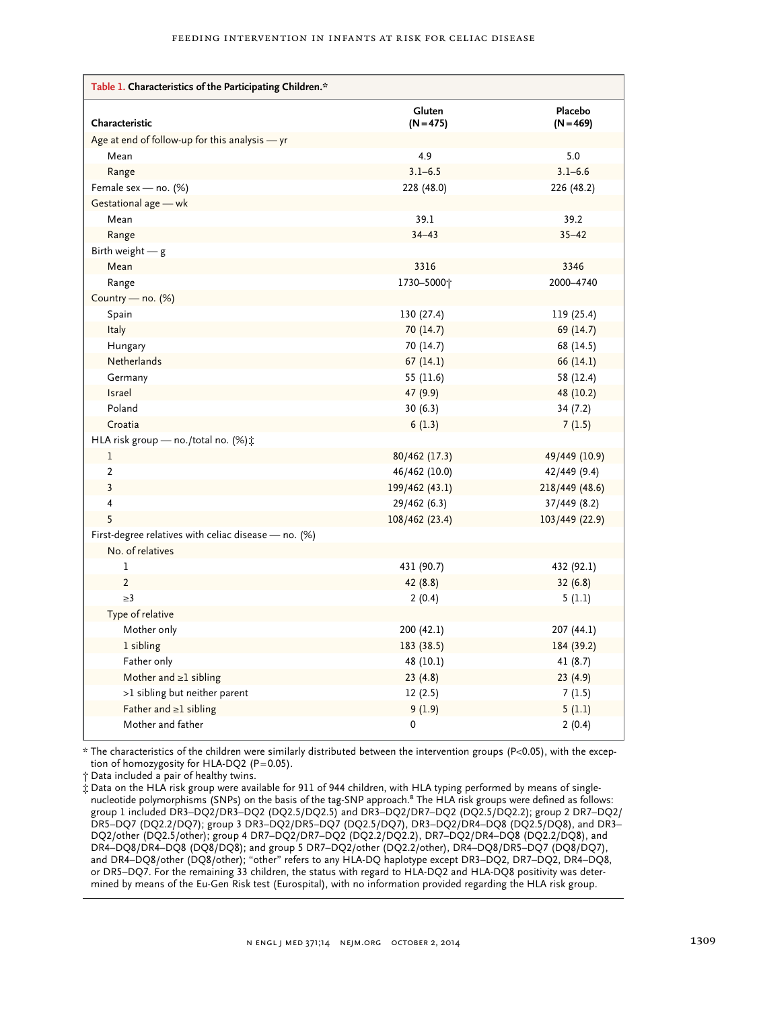| Table 1. Characteristics of the Participating Children.* |                |                |
|----------------------------------------------------------|----------------|----------------|
|                                                          | Gluten         | Placebo        |
| Characteristic                                           | $(N = 475)$    | $(N = 469)$    |
| Age at end of follow-up for this analysis - yr           |                |                |
| Mean                                                     | 4.9            | 5.0            |
| Range                                                    | $3.1 - 6.5$    | $3.1 - 6.6$    |
| Female sex - no. (%)                                     | 228 (48.0)     | 226 (48.2)     |
| Gestational age - wk                                     |                |                |
| Mean                                                     | 39.1           | 39.2           |
| Range                                                    | $34 - 43$      | $35 - 42$      |
| Birth weight $-$ g                                       |                |                |
| Mean                                                     | 3316           | 3346           |
| Range                                                    | 1730-5000+     | 2000-4740      |
| Country - no. (%)                                        |                |                |
| Spain                                                    | 130 (27.4)     | 119 (25.4)     |
| Italy                                                    | 70(14.7)       | 69 (14.7)      |
| Hungary                                                  | 70 (14.7)      | 68 (14.5)      |
| Netherlands                                              | 67(14.1)       | 66 (14.1)      |
| Germany                                                  | 55 (11.6)      | 58 (12.4)      |
| <b>Israel</b>                                            | 47 (9.9)       | 48 (10.2)      |
| Poland                                                   | 30(6.3)        | 34(7.2)        |
| Croatia                                                  | 6(1.3)         | 7(1.5)         |
| HLA risk group - no./total no. (%) :                     |                |                |
| 1                                                        | 80/462 (17.3)  | 49/449 (10.9)  |
| $\overline{2}$                                           | 46/462 (10.0)  | 42/449 (9.4)   |
| $\overline{\mathbf{3}}$                                  | 199/462 (43.1) | 218/449 (48.6) |
| $\overline{4}$                                           | 29/462 (6.3)   | 37/449 (8.2)   |
| 5                                                        | 108/462 (23.4) | 103/449 (22.9) |
| First-degree relatives with celiac disease - no. (%)     |                |                |
| No. of relatives                                         |                |                |
| 1                                                        | 431 (90.7)     | 432 (92.1)     |
| $\overline{2}$                                           | 42 (8.8)       | 32(6.8)        |
| $\geq$ 3                                                 | 2(0.4)         | 5(1.1)         |
| Type of relative                                         |                |                |
| Mother only                                              | 200 (42.1)     | 207 (44.1)     |
| 1 sibling                                                | 183 (38.5)     | 184 (39.2)     |
| Father only                                              | 48 (10.1)      | 41(8.7)        |
| Mother and $\geq 1$ sibling                              | 23(4.8)        | 23(4.9)        |
| >1 sibling but neither parent                            | 12(2.5)        | 7(1.5)         |
| Father and $\geq 1$ sibling                              | 9(1.9)         | 5(1.1)         |
| Mother and father                                        | 0              | 2(0.4)         |

\* The characteristics of the children were similarly distributed between the intervention groups (P<0.05), with the exception of homozygosity for HLA-DQ2 (P=0.05).

† Data included a pair of healthy twins.

‡ Data on the HLA risk group were available for 911 of 944 children, with HLA typing performed by means of singlenucleotide polymorphisms (SNPs) on the basis of the tag-SNP approach.<sup>8</sup> The HLA risk groups were defined as follows: group 1 included DR3–DQ2/DR3–DQ2 (DQ2.5/DQ2.5) and DR3–DQ2/DR7–DQ2 (DQ2.5/DQ2.2); group 2 DR7–DQ2/ DR5–DQ7 (DQ2.2/DQ7); group 3 DR3–DQ2/DR5–DQ7 (DQ2.5/DQ7), DR3–DQ2/DR4–DQ8 (DQ2.5/DQ8), and DR3– DQ2/other (DQ2.5/other); group 4 DR7–DQ2/DR7–DQ2 (DQ2.2/DQ2.2), DR7–DQ2/DR4–DQ8 (DQ2.2/DQ8), and DR4–DQ8/DR4–DQ8 (DQ8/DQ8); and group 5 DR7–DQ2/other (DQ2.2/other), DR4–DQ8/DR5–DQ7 (DQ8/DQ7), and DR4–DQ8/other (DQ8/other); "other" refers to any HLA-DQ haplotype except DR3–DQ2, DR7–DQ2, DR4–DQ8, or DR5–DQ7. For the remaining 33 children, the status with regard to HLA-DQ2 and HLA-DQ8 positivity was determined by means of the Eu-Gen Risk test (Eurospital), with no information provided regarding the HLA risk group.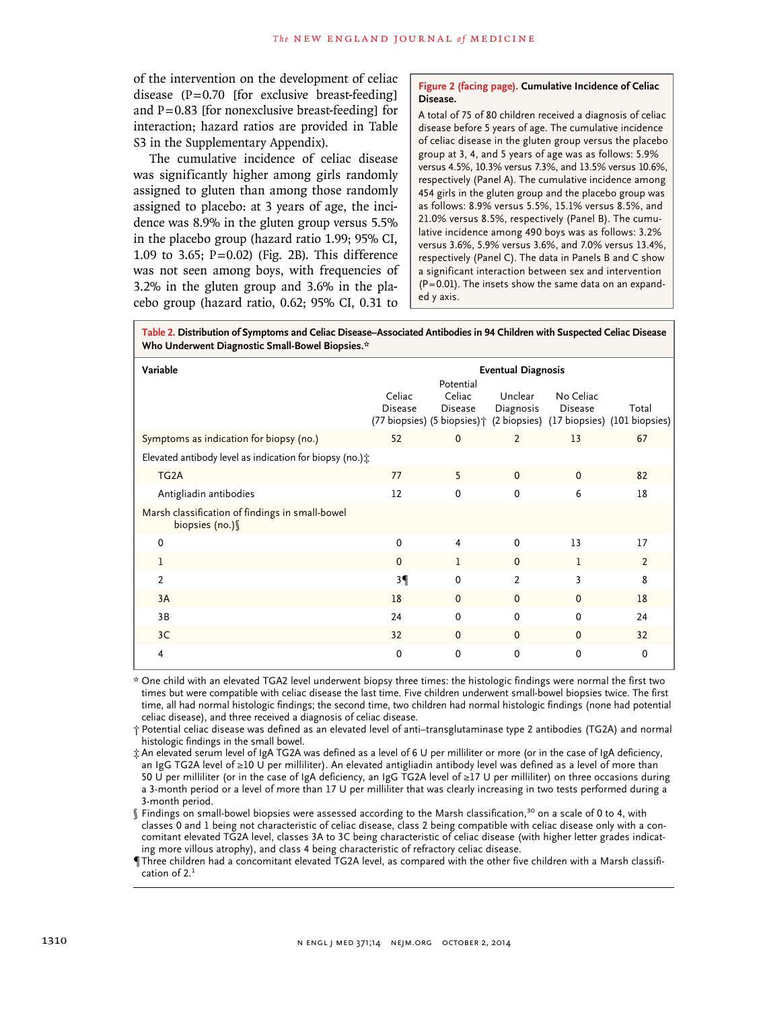of the intervention on the development of celiac disease  $(P=0.70)$  [for exclusive breast-feeding] and  $P=0.83$  [for nonexclusive breast-feeding] for interaction; hazard ratios are provided in Table S3 in the Supplementary Appendix).

The cumulative incidence of celiac disease was significantly higher among girls randomly assigned to gluten than among those randomly assigned to placebo: at 3 years of age, the incidence was 8.9% in the gluten group versus 5.5% in the placebo group (hazard ratio 1.99; 95% CI, 1.09 to 3.65;  $P = 0.02$ ) (Fig. 2B). This difference was not seen among boys, with frequencies of 3.2% in the gluten group and 3.6% in the placebo group (hazard ratio, 0.62; 95% CI, 0.31 to

#### **Figure 2 (facing page). Cumulative Incidence of Celiac Disease.**

A total of 75 of 80 children received a diagnosis of celiac disease before 5 years of age. The cumulative incidence of celiac disease in the gluten group versus the placebo group at 3, 4, and 5 years of age was as follows: 5.9% versus 4.5%, 10.3% versus 7.3%, and 13.5% versus 10.6%, respectively (Panel A). The cumulative incidence among 454 girls in the gluten group and the placebo group was as follows: 8.9% versus 5.5%, 15.1% versus 8.5%, and 21.0% versus 8.5%, respectively (Panel B). The cumulative incidence among 490 boys was as follows: 3.2% versus 3.6%, 5.9% versus 3.6%, and 7.0% versus 13.4%, respectively (Panel C). The data in Panels B and C show a significant interaction between sex and intervention  $(P=0.01)$ . The insets show the same data on an expanded y axis.

**Table 2. Distribution of Symptoms and Celiac Disease–Associated Antibodies in 94 Children with Suspected Celiac Disease Who Underwent Diagnostic Small-Bowel Biopsies.\***

| Variable                                                            | <b>Eventual Diagnosis</b> |                                |                      |                      |                                                                                          |
|---------------------------------------------------------------------|---------------------------|--------------------------------|----------------------|----------------------|------------------------------------------------------------------------------------------|
|                                                                     | Celiac<br><b>Disease</b>  | Potential<br>Celiac<br>Disease | Unclear<br>Diagnosis | No Celiac<br>Disease | Total<br>(77 biopsies) (5 biopsies) $\uparrow$ (2 biopsies) (17 biopsies) (101 biopsies) |
| Symptoms as indication for biopsy (no.)                             | 52                        | $\mathbf 0$                    | $\overline{2}$       | 13                   | 67                                                                                       |
| Elevated antibody level as indication for biopsy (no.) $\dot{x}$    |                           |                                |                      |                      |                                                                                          |
| TG <sub>2</sub> A                                                   | 77                        | 5                              | $\Omega$             | $\Omega$             | 82                                                                                       |
| Antigliadin antibodies                                              | 12                        | $\Omega$                       | 0                    | 6                    | 18                                                                                       |
| Marsh classification of findings in small-bowel<br>biopsies (no.) \ |                           |                                |                      |                      |                                                                                          |
| $\Omega$                                                            | 0                         | $\overline{4}$                 | $\Omega$             | 13                   | 17                                                                                       |
| 1                                                                   | $\mathbf 0$               | 1                              | $\mathbf 0$          | 1                    | $\overline{2}$                                                                           |
| 2                                                                   | 3 <sup>q</sup>            | $\Omega$                       | 2                    | 3                    | 8                                                                                        |
| 3A                                                                  | 18                        | $\Omega$                       | $\mathbf 0$          | $\Omega$             | 18                                                                                       |
| 3B                                                                  | 24                        | $\Omega$                       | $\mathbf{0}$         | $\Omega$             | 24                                                                                       |
| 3C                                                                  | 32                        | $\Omega$                       | $\mathbf 0$          | $\Omega$             | 32                                                                                       |
| 4                                                                   | 0                         | $\Omega$                       | $\Omega$             | $\Omega$             | $\Omega$                                                                                 |

\* One child with an elevated TGA2 level underwent biopsy three times: the histologic findings were normal the first two times but were compatible with celiac disease the last time. Five children underwent small-bowel biopsies twice. The first time, all had normal histologic findings; the second time, two children had normal histologic findings (none had potential celiac disease), and three received a diagnosis of celiac disease.

† Potential celiac disease was defined as an elevated level of anti–transglutaminase type 2 antibodies (TG2A) and normal histologic findings in the small bowel.

‡ An elevated serum level of IgA TG2A was defined as a level of 6 U per milliliter or more (or in the case of IgA deficiency, an IgG TG2A level of ≥10 U per milliliter). An elevated antigliadin antibody level was defined as a level of more than 50 U per milliliter (or in the case of IgA deficiency, an IgG TG2A level of ≥17 U per milliliter) on three occasions during a 3-month period or a level of more than 17 U per milliliter that was clearly increasing in two tests performed during a 3-month period.

§ Findings on small-bowel biopsies were assessed according to the Marsh classification,<sup>30</sup> on a scale of 0 to 4, with classes 0 and 1 being not characteristic of celiac disease, class 2 being compatible with celiac disease only with a concomitant elevated TG2A level, classes 3A to 3C being characteristic of celiac disease (with higher letter grades indicating more villous atrophy), and class 4 being characteristic of refractory celiac disease.

¶Three children had a concomitant elevated TG2A level, as compared with the other five children with a Marsh classification of 2.<sup>1</sup>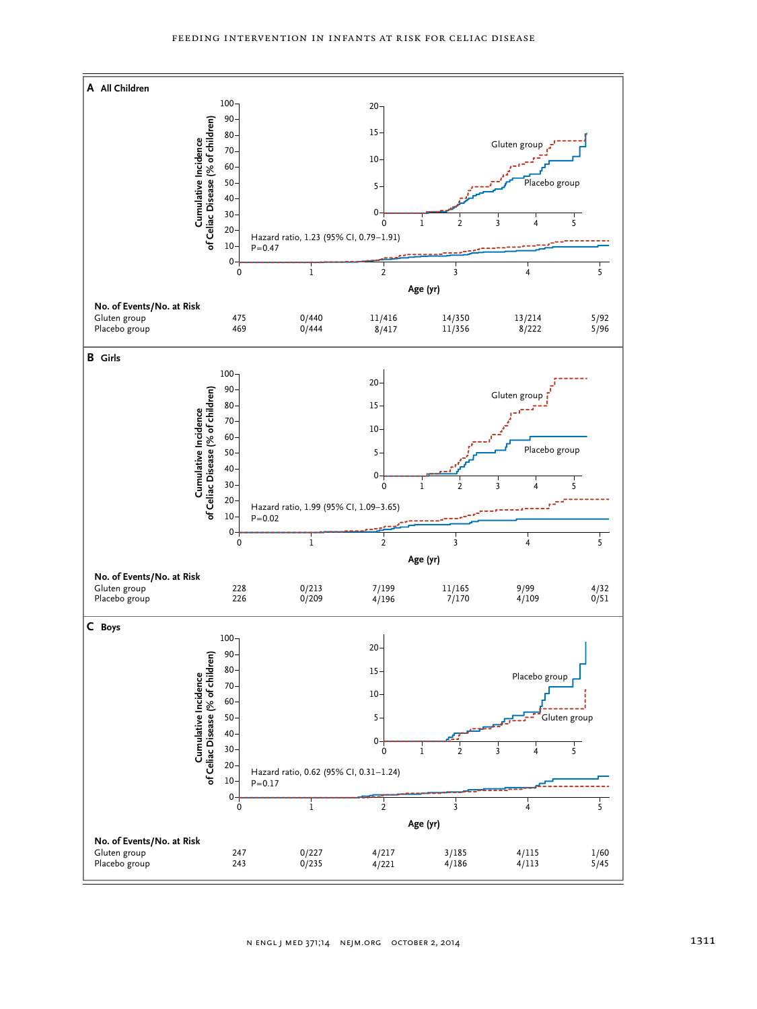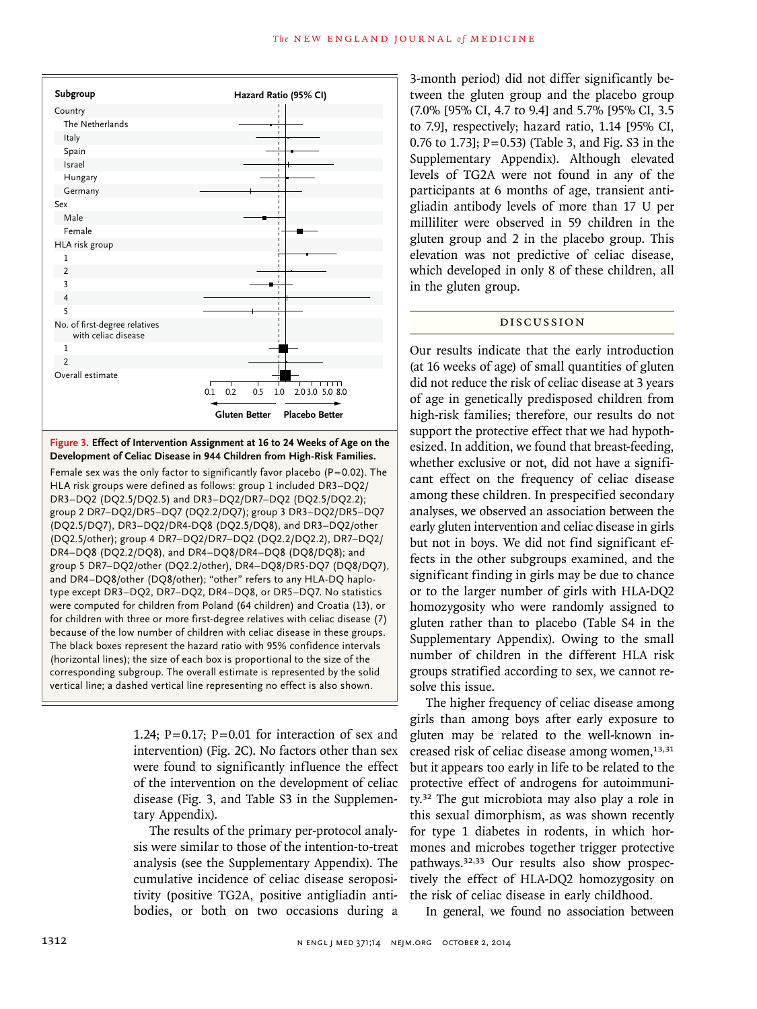

**Figure 3. Effect of Intervention Assignment at 16 to 24 Weeks of Age on the Development of Celiac Disease in 944 Children from High-Risk Families.**

Female sex was the only factor to significantly favor placebo ( $P=0.02$ ). The HLA risk groups were defined as follows: group 1 included DR3–DQ2/ DR3–DQ2 (DQ2.5/DQ2.5) and DR3–DQ2/DR7–DQ2 (DQ2.5/DQ2.2); group 2 DR7–DQ2/DR5–DQ7 (DQ2.2/DQ7); group 3 DR3–DQ2/DR5–DQ7 (DQ2.5/DQ7), DR3–DQ2/DR4-DQ8 (DQ2.5/DQ8), and DR3–DQ2/other (DQ2.5/other); group 4 DR7–DQ2/DR7–DQ2 (DQ2.2/DQ2.2), DR7–DQ2/ DR4–DQ8 (DQ2.2/DQ8), and DR4–DQ8/DR4–DQ8 (DQ8/DQ8); and group 5 DR7–DQ2/other (DQ2.2/other), DR4–DQ8/DR5-DQ7 (DQ8/DQ7), and DR4–DQ8/other (DQ8/other); "other" refers to any HLA-DQ haplotype except DR3–DQ2, DR7–DQ2, DR4–DQ8, or DR5–DQ7. No statistics were computed for children from Poland (64 children) and Croatia (13), or for children with three or more first-degree relatives with celiac disease (7) because of the low number of children with celiac disease in these groups. The black boxes represent the hazard ratio with 95% confidence intervals (horizontal lines); the size of each box is proportional to the size of the corresponding subgroup. The overall estimate is represented by the solid vertical line; a dashed vertical line representing no effect is also shown.

> 1.24;  $P=0.17$ ;  $P=0.01$  for interaction of sex and intervention) (Fig. 2C). No factors other than sex were found to significantly influence the effect of the intervention on the development of celiac disease (Fig. 3, and Table S3 in the Supplementary Appendix).

> The results of the primary per-protocol analysis were similar to those of the intention-to-treat analysis (see the Supplementary Appendix). The cumulative incidence of celiac disease seropositivity (positive TG2A, positive antigliadin antibodies, or both on two occasions during a

3-month period) did not differ significantly between the gluten group and the placebo group (7.0% [95% CI, 4.7 to 9.4] and 5.7% [95% CI, 3.5 to 7.9], respectively; hazard ratio, 1.14 [95% CI, 0.76 to 1.73]; P=0.53) (Table 3, and Fig. S3 in the Supplementary Appendix). Although elevated levels of TG2A were not found in any of the participants at 6 months of age, transient antigliadin antibody levels of more than 17 U per milliliter were observed in 59 children in the gluten group and 2 in the placebo group. This elevation was not predictive of celiac disease, which developed in only 8 of these children, all in the gluten group.

## DISCUSSION

Our results indicate that the early introduction (at 16 weeks of age) of small quantities of gluten did not reduce the risk of celiac disease at 3 years of age in genetically predisposed children from high-risk families; therefore, our results do not support the protective effect that we had hypothesized. In addition, we found that breast-feeding, whether exclusive or not, did not have a significant effect on the frequency of celiac disease among these children. In prespecified secondary analyses, we observed an association between the early gluten intervention and celiac disease in girls but not in boys. We did not find significant effects in the other subgroups examined, and the significant finding in girls may be due to chance or to the larger number of girls with HLA-DQ2 homozygosity who were randomly assigned to gluten rather than to placebo (Table S4 in the Supplementary Appendix). Owing to the small number of children in the different HLA risk groups stratified according to sex, we cannot resolve this issue.

The higher frequency of celiac disease among girls than among boys after early exposure to gluten may be related to the well-known increased risk of celiac disease among women,<sup>13,31</sup> but it appears too early in life to be related to the protective effect of androgens for autoimmunity.32 The gut microbiota may also play a role in this sexual dimorphism, as was shown recently for type 1 diabetes in rodents, in which hormones and microbes together trigger protective pathways.32,33 Our results also show prospectively the effect of HLA-DQ2 homozygosity on the risk of celiac disease in early childhood.

In general, we found no association between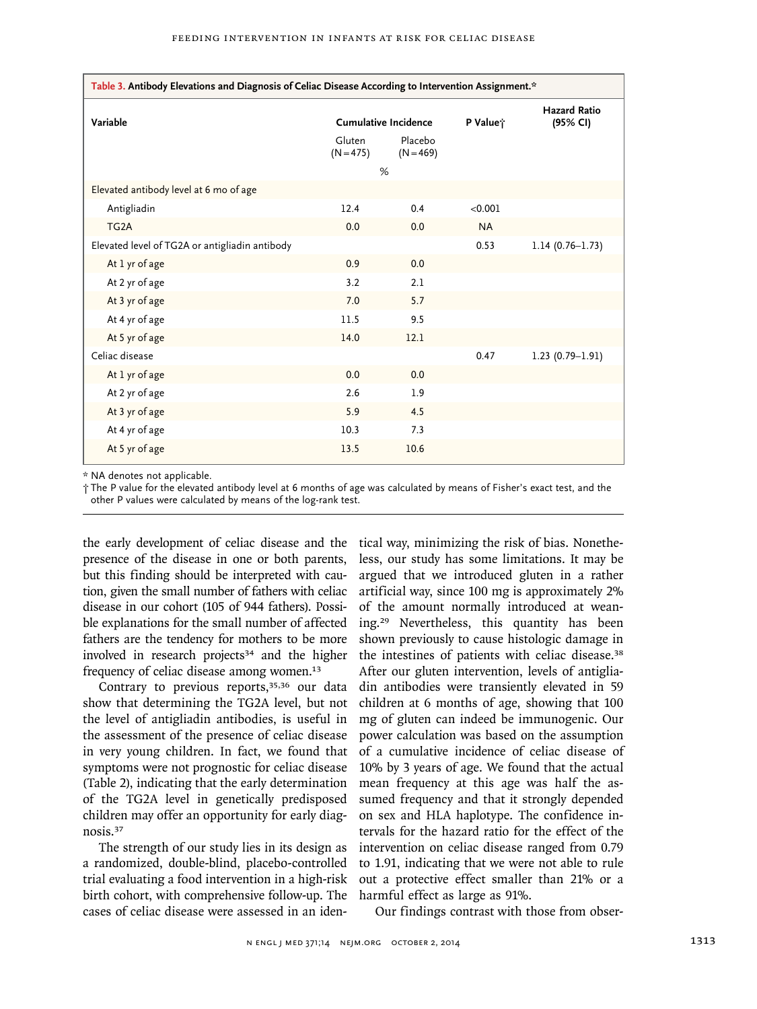| Table 3. Antibody Elevations and Diagnosis of Celiac Disease According to Intervention Assignment.* |                             |                        |           |                                 |  |  |
|-----------------------------------------------------------------------------------------------------|-----------------------------|------------------------|-----------|---------------------------------|--|--|
| Variable                                                                                            | <b>Cumulative Incidence</b> |                        | P Value;  | <b>Hazard Ratio</b><br>(95% CI) |  |  |
|                                                                                                     | Gluten<br>$(N = 475)$       | Placebo<br>$(N = 469)$ |           |                                 |  |  |
|                                                                                                     | %                           |                        |           |                                 |  |  |
| Elevated antibody level at 6 mo of age                                                              |                             |                        |           |                                 |  |  |
| Antigliadin                                                                                         | 12.4                        | 0.4                    | < 0.001   |                                 |  |  |
| TG <sub>2</sub> A                                                                                   | 0.0                         | 0.0                    | <b>NA</b> |                                 |  |  |
| Elevated level of TG2A or antigliadin antibody                                                      |                             |                        | 0.53      | $1.14(0.76 - 1.73)$             |  |  |
| At 1 yr of age                                                                                      | 0.9                         | 0.0                    |           |                                 |  |  |
| At 2 yr of age                                                                                      | 3.2                         | 2.1                    |           |                                 |  |  |
| At 3 yr of age                                                                                      | 7.0                         | 5.7                    |           |                                 |  |  |
| At 4 yr of age                                                                                      | 11.5                        | 9.5                    |           |                                 |  |  |
| At 5 yr of age                                                                                      | 14.0                        | 12.1                   |           |                                 |  |  |
| Celiac disease                                                                                      |                             |                        | 0.47      | $1.23(0.79-1.91)$               |  |  |
| At 1 yr of age                                                                                      | 0.0                         | 0.0                    |           |                                 |  |  |
| At 2 yr of age                                                                                      | 2.6                         | 1.9                    |           |                                 |  |  |
| At 3 yr of age                                                                                      | 5.9                         | 4.5                    |           |                                 |  |  |
| At 4 yr of age                                                                                      | 10.3                        | 7.3                    |           |                                 |  |  |
| At 5 yr of age                                                                                      | 13.5                        | 10.6                   |           |                                 |  |  |

\* NA denotes not applicable.

† The P value for the elevated antibody level at 6 months of age was calculated by means of Fisher's exact test, and the other P values were calculated by means of the log-rank test.

the early development of celiac disease and the presence of the disease in one or both parents, but this finding should be interpreted with caution, given the small number of fathers with celiac disease in our cohort (105 of 944 fathers). Possible explanations for the small number of affected fathers are the tendency for mothers to be more involved in research projects $34$  and the higher frequency of celiac disease among women.<sup>13</sup>

Contrary to previous reports,<sup>35,36</sup> our data show that determining the TG2A level, but not the level of antigliadin antibodies, is useful in the assessment of the presence of celiac disease in very young children. In fact, we found that symptoms were not prognostic for celiac disease (Table 2), indicating that the early determination of the TG2A level in genetically predisposed children may offer an opportunity for early diagnosis.<sup>37</sup>

The strength of our study lies in its design as a randomized, double-blind, placebo-controlled trial evaluating a food intervention in a high-risk birth cohort, with comprehensive follow-up. The cases of celiac disease were assessed in an identical way, minimizing the risk of bias. Nonetheless, our study has some limitations. It may be argued that we introduced gluten in a rather artificial way, since 100 mg is approximately 2% of the amount normally introduced at weaning.29 Nevertheless, this quantity has been shown previously to cause histologic damage in the intestines of patients with celiac disease.<sup>38</sup> After our gluten intervention, levels of antigliadin antibodies were transiently elevated in 59 children at 6 months of age, showing that 100 mg of gluten can indeed be immunogenic. Our power calculation was based on the assumption of a cumulative incidence of celiac disease of 10% by 3 years of age. We found that the actual mean frequency at this age was half the assumed frequency and that it strongly depended on sex and HLA haplotype. The confidence intervals for the hazard ratio for the effect of the intervention on celiac disease ranged from 0.79 to 1.91, indicating that we were not able to rule out a protective effect smaller than 21% or a harmful effect as large as 91%.

Our findings contrast with those from obser-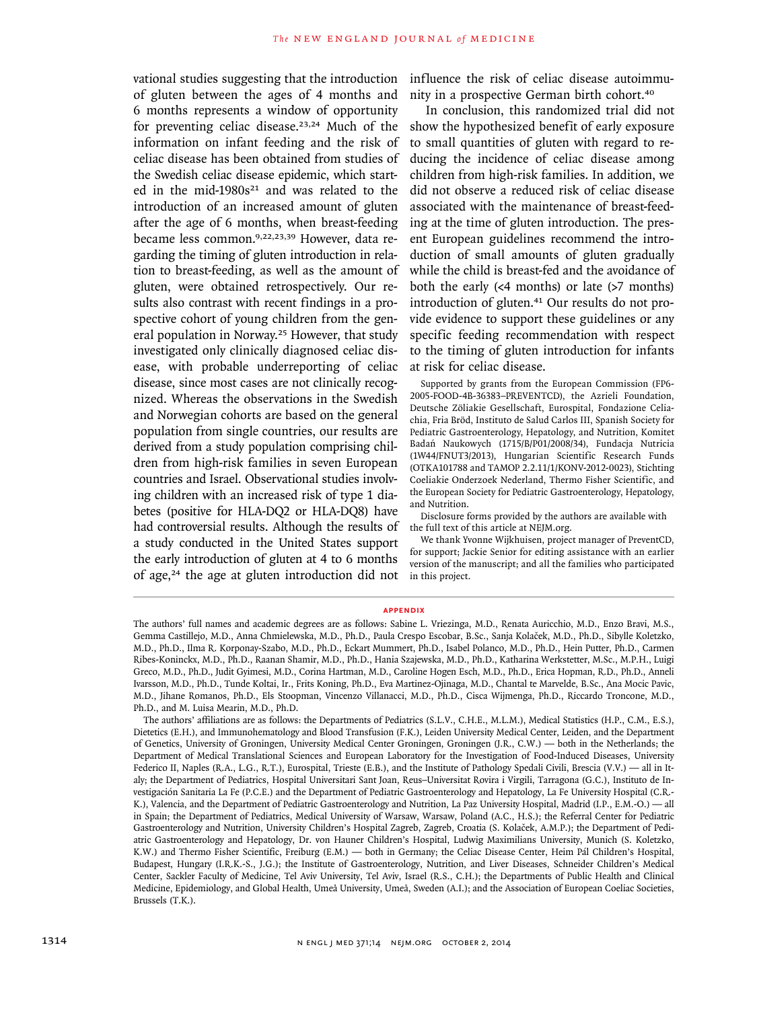of gluten between the ages of 4 months and 6 months represents a window of opportunity for preventing celiac disease.<sup>23,24</sup> Much of the information on infant feeding and the risk of celiac disease has been obtained from studies of the Swedish celiac disease epidemic, which started in the mid-1980s<sup>21</sup> and was related to the introduction of an increased amount of gluten after the age of 6 months, when breast-feeding became less common.9,22,23,39 However, data regarding the timing of gluten introduction in relation to breast-feeding, as well as the amount of gluten, were obtained retrospectively. Our results also contrast with recent findings in a prospective cohort of young children from the general population in Norway.25 However, that study investigated only clinically diagnosed celiac disease, with probable underreporting of celiac disease, since most cases are not clinically recognized. Whereas the observations in the Swedish and Norwegian cohorts are based on the general population from single countries, our results are derived from a study population comprising children from high-risk families in seven European countries and Israel. Observational studies involving children with an increased risk of type 1 diabetes (positive for HLA-DQ2 or HLA-DQ8) have had controversial results. Although the results of a study conducted in the United States support the early introduction of gluten at 4 to 6 months of age,24 the age at gluten introduction did not

vational studies suggesting that the introduction influence the risk of celiac disease autoimmunity in a prospective German birth cohort.<sup>40</sup>

> In conclusion, this randomized trial did not show the hypothesized benefit of early exposure to small quantities of gluten with regard to reducing the incidence of celiac disease among children from high-risk families. In addition, we did not observe a reduced risk of celiac disease associated with the maintenance of breast-feeding at the time of gluten introduction. The present European guidelines recommend the introduction of small amounts of gluten gradually while the child is breast-fed and the avoidance of both the early  $(\leq 4 \text{ months})$  or late  $(>7 \text{ months})$ introduction of gluten.<sup>41</sup> Our results do not provide evidence to support these guidelines or any specific feeding recommendation with respect to the timing of gluten introduction for infants at risk for celiac disease.

> Supported by grants from the European Commission (FP6- 2005-FOOD-4B-36383–PREVENTCD), the Azrieli Foundation, Deutsche Zöliakie Gesellschaft, Eurospital, Fondazione Celiachia, Fria Bröd, Instituto de Salud Carlos III, Spanish Society for Pediatric Gastroenterology, Hepatology, and Nutrition, Komitet Badań Naukowych (1715/B/P01/2008/34), Fundacja Nutricia (1W44/FNUT3/2013), Hungarian Scientific Research Funds (OTKA101788 and TAMOP 2.2.11/1/KONV-2012-0023), Stichting Coeliakie Onderzoek Nederland, Thermo Fisher Scientific, and the European Society for Pediatric Gastroenterology, Hepatology, and Nutrition.

Disclosure forms provided by the authors are available with the full text of this article at NEJM.org.

We thank Yvonne Wijkhuisen, project manager of PreventCD, for support; Jackie Senior for editing assistance with an earlier version of the manuscript; and all the families who participated in this project.

#### **appendix**

The authors' full names and academic degrees are as follows: Sabine L. Vriezinga, M.D., Renata Auricchio, M.D., Enzo Bravi, M.S., Gemma Castillejo, M.D., Anna Chmielewska, M.D., Ph.D., Paula Crespo Escobar, B.Sc., Sanja Kolaček, M.D., Ph.D., Sibylle Koletzko, M.D., Ph.D., Ilma R. Korponay-Szabo, M.D., Ph.D., Eckart Mummert, Ph.D., Isabel Polanco, M.D., Ph.D., Hein Putter, Ph.D., Carmen Ribes-Koninckx, M.D., Ph.D., Raanan Shamir, M.D., Ph.D., Hania Szajewska, M.D., Ph.D., Katharina Werkstetter, M.Sc., M.P.H., Luigi Greco, M.D., Ph.D., Judit Gyimesi, M.D., Corina Hartman, M.D., Caroline Hogen Esch, M.D., Ph.D., Erica Hopman, R.D., Ph.D., Anneli Ivarsson, M.D., Ph.D., Tunde Koltai, Ir., Frits Koning, Ph.D., Eva Martinez-Ojinaga, M.D., Chantal te Marvelde, B.Sc., Ana Mocic Pavic, M.D., Jihane Romanos, Ph.D., Els Stoopman, Vincenzo Villanacci, M.D., Ph.D., Cisca Wijmenga, Ph.D., Riccardo Troncone, M.D., Ph.D., and M. Luisa Mearin, M.D., Ph.D.

The authors' affiliations are as follows: the Departments of Pediatrics (S.L.V., C.H.E., M.L.M.), Medical Statistics (H.P., C.M., E.S.), Dietetics (E.H.), and Immunohematology and Blood Transfusion (F.K.), Leiden University Medical Center, Leiden, and the Department of Genetics, University of Groningen, University Medical Center Groningen, Groningen (J.R., C.W.) — both in the Netherlands; the Department of Medical Translational Sciences and European Laboratory for the Investigation of Food-Induced Diseases, University Federico II, Naples (R.A., L.G., R.T.), Eurospital, Trieste (E.B.), and the Institute of Pathology Spedali Civili, Brescia (V.V.) — all in Italy; the Department of Pediatrics, Hospital Universitari Sant Joan, Reus–Universitat Rovira i Virgili, Tarragona (G.C.), Instituto de Investigación Sanitaria La Fe (P.C.E.) and the Department of Pediatric Gastroenterology and Hepatology, La Fe University Hospital (C.R.- K.), Valencia, and the Department of Pediatric Gastroenterology and Nutrition, La Paz University Hospital, Madrid (I.P., E.M.-O.) — all in Spain; the Department of Pediatrics, Medical University of Warsaw, Warsaw, Poland (A.C., H.S.); the Referral Center for Pediatric Gastroenterology and Nutrition, University Children's Hospital Zagreb, Zagreb, Croatia (S. Kolaček, A.M.P.); the Department of Pediatric Gastroenterology and Hepatology, Dr. von Hauner Children's Hospital, Ludwig Maximilians University, Munich (S. Koletzko, K.W.) and Thermo Fisher Scientific, Freiburg (E.M.) — both in Germany; the Celiac Disease Center, Heim Pál Children's Hospital, Budapest, Hungary (I.R.K.-S., J.G.); the Institute of Gastroenterology, Nutrition, and Liver Diseases, Schneider Children's Medical Center, Sackler Faculty of Medicine, Tel Aviv University, Tel Aviv, Israel (R.S., C.H.); the Departments of Public Health and Clinical Medicine, Epidemiology, and Global Health, Umeå University, Umeå, Sweden (A.I.); and the Association of European Coeliac Societies, Brussels (T.K.).